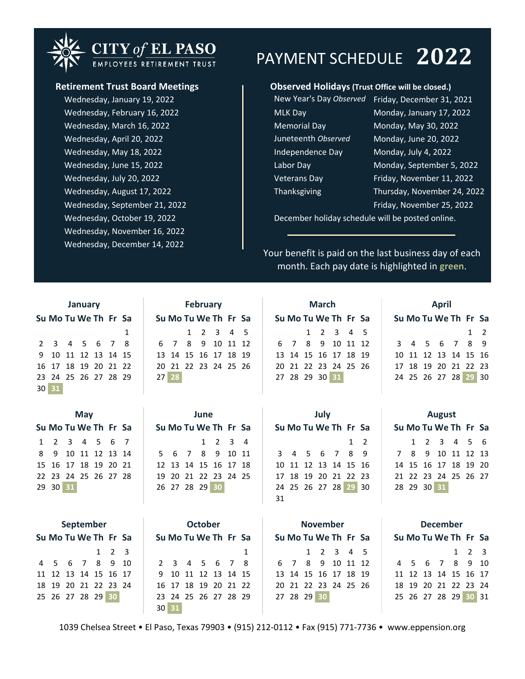## **CITY of EL PASO** EMPLOYEES RETIREMENT TRUST

Wednesday, July 20, 2022 Wednesday, August 17, 2022 Wednesday, September 21, 2022 **Friday, November 25, 2022** Friday, November 25, 2022 Wednesday, October 19, 2022 Wednesday, November 16, 2022 Wednesday, May 18, 2022 Wednesday, June 15, 2022 Wednesday, December 14, 2022 Wednesday, March 16, 2022 Wednesday, April 20, 2022 Wednesday, January 19, 2022 Wednesday, February 16, 2022

## PAYMENT SCHEDULE **2022**

### **Retirement Trust Board Meetings Observed Holidays (Trust Office will be closed.)**

| New Year's Day Observed | Friday, December 31, 2021   |
|-------------------------|-----------------------------|
| <b>MLK Day</b>          | Monday, January 17, 2022    |
| <b>Memorial Day</b>     | Monday, May 30, 2022        |
| Juneteenth Observed     | Monday, June 20, 2022       |
| Independence Day        | Monday, July 4, 2022        |
| Labor Day               | Monday, September 5, 2022   |
| <b>Veterans Day</b>     | Friday, November 11, 2022   |
| <b>Thanksgiving</b>     | Thursday, November 24, 202. |
|                         |                             |

December holiday schedule will be posted online.

Your benefit is paid on the last business day of each month. Each pay date is highlighted in **green**.

|    |                      |                      | January |  |  | February |  |            |                |  |                   |  |  |  |
|----|----------------------|----------------------|---------|--|--|----------|--|------------|----------------|--|-------------------|--|--|--|
|    | Su Mo Tu We Th Fr Sa |                      |         |  |  |          |  |            | Su Mo Tu We Th |  |                   |  |  |  |
|    |                      |                      |         |  |  | 1        |  |            |                |  | $1\quad 2\quad 3$ |  |  |  |
|    |                      | 2 3 4 5 6 7 8        |         |  |  |          |  | 6 7 8 9 10 |                |  |                   |  |  |  |
|    | 9 10 11 12 13 14 15  |                      |         |  |  |          |  |            | 13 14 15 16 17 |  |                   |  |  |  |
|    | 16 17 18 19 20 21 22 |                      |         |  |  |          |  |            | 20 21 22 23 24 |  |                   |  |  |  |
|    |                      | 23 24 25 26 27 28 29 |         |  |  |          |  |            | 27 28          |  |                   |  |  |  |
| 30 | 31                   |                      |         |  |  |          |  |            |                |  |                   |  |  |  |

| January |                      |                      |  |  |  |                      |                      | February  |  |                      |                      | March |  |                      |                      | April |            |  |
|---------|----------------------|----------------------|--|--|--|----------------------|----------------------|-----------|--|----------------------|----------------------|-------|--|----------------------|----------------------|-------|------------|--|
|         |                      | Su Mo Tu We Th Fr Sa |  |  |  | Su Mo Tu We Th Fr Sa |                      |           |  | Su Mo Tu We Th Fr Sa |                      |       |  | Su Mo Tu We Th Fr Sa |                      |       |            |  |
|         |                      |                      |  |  |  | 1                    |                      | 1 2 3 4 5 |  |                      | 1 2 3 4 5            |       |  |                      |                      |       | $1\quad 2$ |  |
|         |                      |                      |  |  |  | 2 3 4 5 6 7 8        | 6 7 8 9 10 11 12     |           |  |                      | 6 7 8 9 10 11 12     |       |  |                      | 3 4 5 6 7 8 9        |       |            |  |
|         | 9 10 11 12 13 14 15  |                      |  |  |  |                      | 13 14 15 16 17 18 19 |           |  |                      | 13 14 15 16 17 18 19 |       |  |                      | 10 11 12 13 14 15 16 |       |            |  |
|         |                      |                      |  |  |  | 16 17 18 19 20 21 22 | 20 21 22 23 24 25 26 |           |  |                      | 20 21 22 23 24 25 26 |       |  |                      | 17 18 19 20 21 22 23 |       |            |  |
|         | 23 24 25 26 27 28 29 |                      |  |  |  |                      | $27$ 28              |           |  |                      | 27 28 29 30 31       |       |  |                      | 24 25 26 27 28 29 30 |       |            |  |

| ivialtii |  |  |  |                |                                                                                                                 |  |  |  |  |  |  |  |  |  |
|----------|--|--|--|----------------|-----------------------------------------------------------------------------------------------------------------|--|--|--|--|--|--|--|--|--|
|          |  |  |  |                |                                                                                                                 |  |  |  |  |  |  |  |  |  |
|          |  |  |  |                |                                                                                                                 |  |  |  |  |  |  |  |  |  |
|          |  |  |  |                |                                                                                                                 |  |  |  |  |  |  |  |  |  |
|          |  |  |  |                |                                                                                                                 |  |  |  |  |  |  |  |  |  |
|          |  |  |  |                |                                                                                                                 |  |  |  |  |  |  |  |  |  |
|          |  |  |  |                |                                                                                                                 |  |  |  |  |  |  |  |  |  |
|          |  |  |  | 27 28 29 30 31 | Su Mo Tu We Th Fr Sa<br>$1 \t2 \t3 \t4 \t5$<br>6 7 8 9 10 11 12<br>13 14 15 16 17 18 19<br>20 21 22 23 24 25 26 |  |  |  |  |  |  |  |  |  |

| January              | February             | March                | <b>April</b>         |
|----------------------|----------------------|----------------------|----------------------|
| Su Mo Tu We Th Fr Sa | Su Mo Tu We Th Fr Sa | Su Mo Tu We Th Fr Sa | Su Mo Tu We Th Fr Sa |
| $\overline{1}$       | 1 2 3 4 5            | 1 2 3 4 5            | $1\quad 2$           |
| 2 3 4 5 6 7 8        | 6 7 8 9 10 11 12     | 6 7 8 9 10 11 12     | 3 4 5 6 7 8 9        |
| 9 10 11 12 13 14 15  | 13 14 15 16 17 18 19 | 13 14 15 16 17 18 19 | 10 11 12 13 14 15 16 |
| 16 17 18 19 20 21 22 | 20 21 22 23 24 25 26 | 20 21 22 23 24 25 26 | 17 18 19 20 21 22 23 |
| 23 24 25 26 27 28 29 | $27$ 28              | 27 28 29 30 31       | 24 25 26 27 28 29 30 |
|                      |                      |                      |                      |

| Mav |  |  |          |  |  |                                                                                                             |                      |  |  |  |  |      |                |                                                                            |    |  |  |      |                                                                                                                             |  |  |                                                                                                                      |
|-----|--|--|----------|--|--|-------------------------------------------------------------------------------------------------------------|----------------------|--|--|--|--|------|----------------|----------------------------------------------------------------------------|----|--|--|------|-----------------------------------------------------------------------------------------------------------------------------|--|--|----------------------------------------------------------------------------------------------------------------------|
|     |  |  |          |  |  |                                                                                                             | Su Mo Tu We Th Fr Sa |  |  |  |  |      |                |                                                                            |    |  |  |      |                                                                                                                             |  |  |                                                                                                                      |
|     |  |  |          |  |  |                                                                                                             |                      |  |  |  |  |      |                |                                                                            |    |  |  |      |                                                                                                                             |  |  |                                                                                                                      |
|     |  |  |          |  |  |                                                                                                             |                      |  |  |  |  |      |                |                                                                            |    |  |  |      |                                                                                                                             |  |  |                                                                                                                      |
|     |  |  |          |  |  |                                                                                                             |                      |  |  |  |  |      |                |                                                                            |    |  |  |      |                                                                                                                             |  |  |                                                                                                                      |
|     |  |  |          |  |  |                                                                                                             |                      |  |  |  |  |      |                |                                                                            |    |  |  |      |                                                                                                                             |  |  |                                                                                                                      |
|     |  |  |          |  |  |                                                                                                             |                      |  |  |  |  |      |                |                                                                            |    |  |  |      |                                                                                                                             |  |  |                                                                                                                      |
|     |  |  |          |  |  |                                                                                                             |                      |  |  |  |  |      |                |                                                                            | 31 |  |  |      |                                                                                                                             |  |  |                                                                                                                      |
|     |  |  | 29 30 31 |  |  | Su Mo Tu We Th Fr Sa<br>1 2 3 4 5 6 7<br>8 9 10 11 12 13 14<br>15 16 17 18 19 20 21<br>22 23 24 25 26 27 28 |                      |  |  |  |  | June | 26 27 28 29 30 | 1 2 3 4<br>5 6 7 8 9 10 11<br>12 13 14 15 16 17 18<br>19 20 21 22 23 24 25 |    |  |  | July | Su Mo Tu We Th Fr Sa<br>$1\quad 2$<br>3 4 5 6 7 8 9<br>10 11 12 13 14 15 16<br>17 18 19 20 21 22 23<br>24 25 26 27 28 29 30 |  |  | <b>August</b><br>Su Mo Tu We T<br>$1 \quad 2 \quad 3$<br>7 8 9 10 1<br>14 15 16 17 1<br>21 22 23 24 2<br>28 29 30 31 |

| <b>August</b>        |  |                         |  |  |  |  |  |  |  |  |  |  |  |  |
|----------------------|--|-------------------------|--|--|--|--|--|--|--|--|--|--|--|--|
| Su Mo Tu We Th Fr Sa |  |                         |  |  |  |  |  |  |  |  |  |  |  |  |
|                      |  | $1 \t2 \t3 \t4 \t5 \t6$ |  |  |  |  |  |  |  |  |  |  |  |  |
| 7 8 9 10 11 12 13    |  |                         |  |  |  |  |  |  |  |  |  |  |  |  |
| 14 15 16 17 18 19 20 |  |                         |  |  |  |  |  |  |  |  |  |  |  |  |
| 21 22 23 24 25 26 27 |  |                         |  |  |  |  |  |  |  |  |  |  |  |  |
| 28 29 30 31          |  |                         |  |  |  |  |  |  |  |  |  |  |  |  |
|                      |  |                         |  |  |  |  |  |  |  |  |  |  |  |  |

| September |                      |  |  |  |                   |  |       |                      | <b>October</b> |  |  |                      |             | <b>November</b> |  |                      |                      | <b>December</b> |  |                   |  |
|-----------|----------------------|--|--|--|-------------------|--|-------|----------------------|----------------|--|--|----------------------|-------------|-----------------|--|----------------------|----------------------|-----------------|--|-------------------|--|
|           | Su Mo Tu We Th Fr Sa |  |  |  |                   |  |       | Su Mo Tu We Th Fr Sa |                |  |  | Su Mo Tu We Th Fr Sa |             |                 |  |                      | Su Mo Tu We Th Fr Sa |                 |  |                   |  |
|           |                      |  |  |  | $1\quad 2\quad 3$ |  |       |                      |                |  |  |                      |             | 1 2 3 4 5       |  |                      |                      |                 |  | $1\quad 2\quad 3$ |  |
|           | 4 5 6 7 8 9 10       |  |  |  |                   |  |       | 2 3 4 5 6 7 8        |                |  |  |                      |             |                 |  | 6 7 8 9 10 11 12     | 4 5 6 7 8 9 10       |                 |  |                   |  |
|           | 11 12 13 14 15 16 17 |  |  |  |                   |  |       | 9 10 11 12 13 14 15  |                |  |  |                      |             |                 |  | 13 14 15 16 17 18 19 | 11 12 13 14 15 16 17 |                 |  |                   |  |
|           | 18 19 20 21 22 23 24 |  |  |  |                   |  |       | 16 17 18 19 20 21 22 |                |  |  |                      |             |                 |  | 20 21 22 23 24 25 26 | 18 19 20 21 22 23 24 |                 |  |                   |  |
|           | 25 26 27 28 29 30    |  |  |  |                   |  |       | 23 24 25 26 27 28 29 |                |  |  |                      | 27 28 29 30 |                 |  |                      | 25 26 27 28 29 30 31 |                 |  |                   |  |
|           |                      |  |  |  |                   |  | 30 31 |                      |                |  |  |                      |             |                 |  |                      |                      |                 |  |                   |  |

calendar is in cells C24 through AJ49, January calendar in cells C25 to I31, February calendar in cells L25 to R31, March

1039 Chelsea Street • El Paso, Texas 79903 • (915) 212-0112 • Fax (915) 771-7736 • www.eppension.org